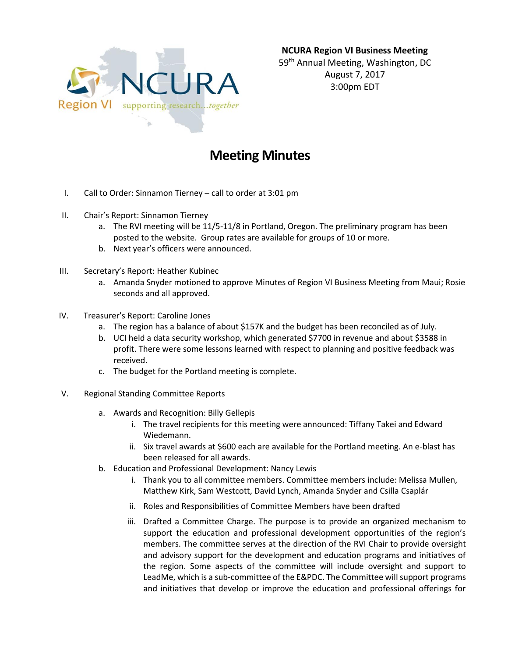

## **Meeting Minutes**

- I. Call to Order: Sinnamon Tierney call to order at 3:01 pm
- II. Chair's Report: Sinnamon Tierney
	- a. The RVI meeting will be 11/5-11/8 in Portland, Oregon. The preliminary program has been posted to the website. Group rates are available for groups of 10 or more.
	- b. Next year's officers were announced.
- III. Secretary's Report: Heather Kubinec
	- a. Amanda Snyder motioned to approve Minutes of Region VI Business Meeting from Maui; Rosie seconds and all approved.
- IV. Treasurer's Report: Caroline Jones
	- a. The region has a balance of about \$157K and the budget has been reconciled as of July.
	- b. UCI held a data security workshop, which generated \$7700 in revenue and about \$3588 in profit. There were some lessons learned with respect to planning and positive feedback was received.
	- c. The budget for the Portland meeting is complete.
- V. Regional Standing Committee Reports
	- a. Awards and Recognition: Billy Gellepis
		- i. The travel recipients for this meeting were announced: Tiffany Takei and Edward Wiedemann.
		- ii. Six travel awards at \$600 each are available for the Portland meeting. An e-blast has been released for all awards.
	- b. Education and Professional Development: Nancy Lewis
		- i. Thank you to all committee members. Committee members include: Melissa Mullen, Matthew Kirk, Sam Westcott, David Lynch, Amanda Snyder and Csilla Csaplár
		- ii. Roles and Responsibilities of Committee Members have been drafted
		- iii. Drafted a Committee Charge. The purpose is to provide an organized mechanism to support the education and professional development opportunities of the region's members. The committee serves at the direction of the RVI Chair to provide oversight and advisory support for the development and education programs and initiatives of the region. Some aspects of the committee will include oversight and support to LeadMe, which is a sub-committee of the E&PDC. The Committee will support programs and initiatives that develop or improve the education and professional offerings for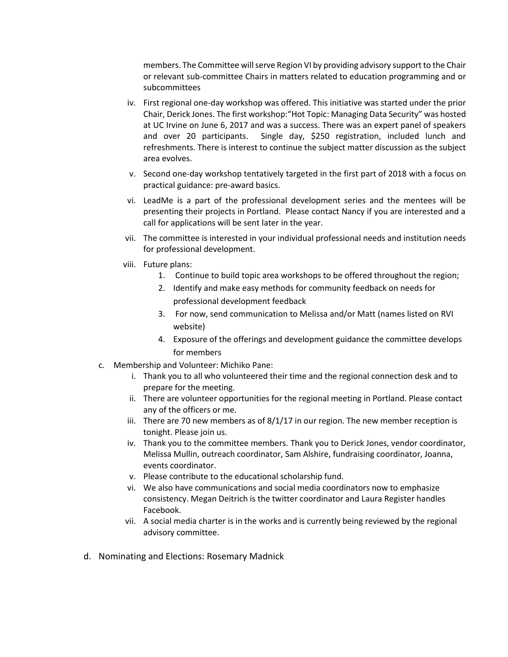members. The Committee will serve Region VI by providing advisory support to the Chair or relevant sub-committee Chairs in matters related to education programming and or subcommittees

- iv. First regional one-day workshop was offered. This initiative was started under the prior Chair, Derick Jones. The first workshop:"Hot Topic: Managing Data Security" was hosted at UC Irvine on June 6, 2017 and was a success. There was an expert panel of speakers and over 20 participants. Single day, \$250 registration, included lunch and refreshments. There is interest to continue the subject matter discussion as the subject area evolves.
- v. Second one-day workshop tentatively targeted in the first part of 2018 with a focus on practical guidance: pre-award basics.
- vi. LeadMe is a part of the professional development series and the mentees will be presenting their projects in Portland. Please contact Nancy if you are interested and a call for applications will be sent later in the year.
- vii. The committee is interested in your individual professional needs and institution needs for professional development.
- viii. Future plans:
	- 1. Continue to build topic area workshops to be offered throughout the region;
	- 2. Identify and make easy methods for community feedback on needs for professional development feedback
	- 3. For now, send communication to Melissa and/or Matt (names listed on RVI website)
	- 4. Exposure of the offerings and development guidance the committee develops for members
- c. Membership and Volunteer: Michiko Pane:
	- i. Thank you to all who volunteered their time and the regional connection desk and to prepare for the meeting.
	- ii. There are volunteer opportunities for the regional meeting in Portland. Please contact any of the officers or me.
	- iii. There are 70 new members as of  $8/1/17$  in our region. The new member reception is tonight. Please join us.
	- iv. Thank you to the committee members. Thank you to Derick Jones, vendor coordinator, Melissa Mullin, outreach coordinator, Sam Alshire, fundraising coordinator, Joanna, events coordinator.
	- v. Please contribute to the educational scholarship fund.
	- vi. We also have communications and social media coordinators now to emphasize consistency. Megan Deitrich is the twitter coordinator and Laura Register handles Facebook.
	- vii. A social media charter is in the works and is currently being reviewed by the regional advisory committee.
- d. Nominating and Elections: Rosemary Madnick